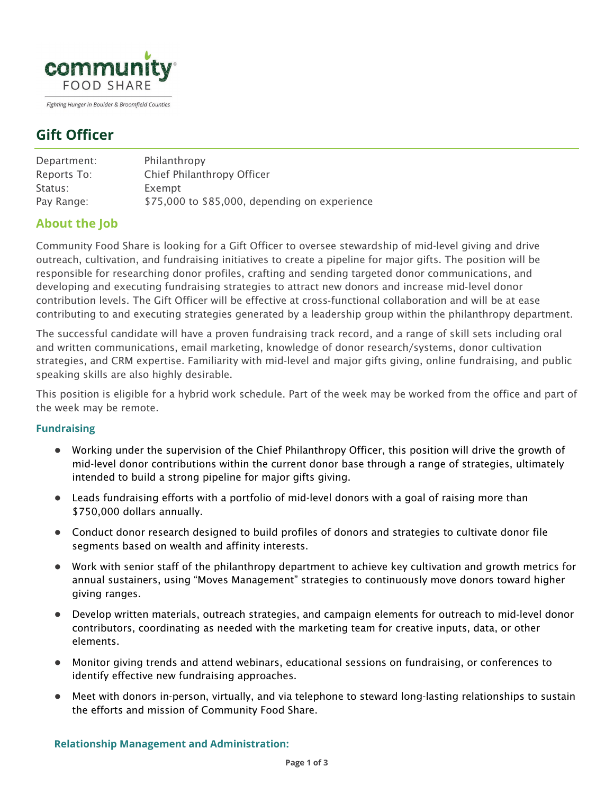

Fighting Hunger in Boulder & Broomfield Counties

# **Gift Officer**

| Department: | Philanthropy                                  |
|-------------|-----------------------------------------------|
| Reports To: | Chief Philanthropy Officer                    |
| Status:     | Exempt                                        |
| Pay Range:  | \$75,000 to \$85,000, depending on experience |

## **About the Job**

Community Food Share is looking for a Gift Officer to oversee stewardship of mid-level giving and drive outreach, cultivation, and fundraising initiatives to create a pipeline for major gifts. The position will be responsible for researching donor profiles, crafting and sending targeted donor communications, and developing and executing fundraising strategies to attract new donors and increase mid‐level donor contribution levels. The Gift Officer will be effective at cross‐functional collaboration and will be at ease contributing to and executing strategies generated by a leadership group within the philanthropy department.

The successful candidate will have a proven fundraising track record, and a range of skill sets including oral and written communications, email marketing, knowledge of donor research/systems, donor cultivation strategies, and CRM expertise. Familiarity with mid-level and major gifts giving, online fundraising, and public speaking skills are also highly desirable.

This position is eligible for a hybrid work schedule. Part of the week may be worked from the office and part of the week may be remote.

#### **Fundraising**

- Working under the supervision of the Chief Philanthropy Officer, this position will drive the growth of mid-level donor contributions within the current donor base through a range of strategies, ultimately intended to build a strong pipeline for major gifts giving.
- Leads fundraising efforts with a portfolio of mid-level donors with a goal of raising more than \$750,000 dollars annually.
- Conduct donor research designed to build profiles of donors and strategies to cultivate donor file segments based on wealth and affinity interests.
- Work with senior staff of the philanthropy department to achieve key cultivation and growth metrics for annual sustainers, using "Moves Management" strategies to continuously move donors toward higher giving ranges.
- Develop written materials, outreach strategies, and campaign elements for outreach to mid-level donor contributors, coordinating as needed with the marketing team for creative inputs, data, or other elements.
- Monitor giving trends and attend webinars, educational sessions on fundraising, or conferences to identify effective new fundraising approaches.
- Meet with donors in-person, virtually, and via telephone to steward long-lasting relationships to sustain the efforts and mission of Community Food Share.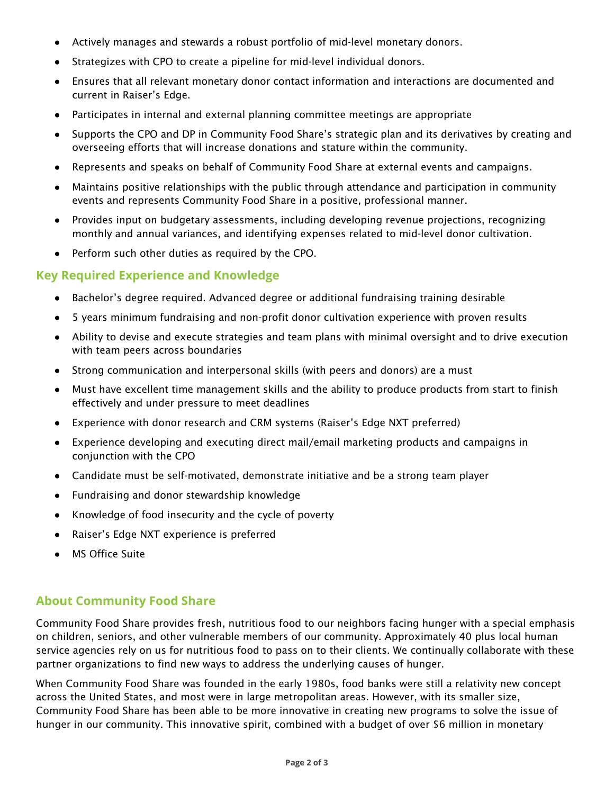- Actively manages and stewards a robust portfolio of mid-level monetary donors.
- Strategizes with CPO to create a pipeline for mid-level individual donors.
- Ensures that all relevant monetary donor contact information and interactions are documented and current in Raiser's Edge.
- Participates in internal and external planning committee meetings are appropriate
- Supports the CPO and DP in Community Food Share's strategic plan and its derivatives by creating and overseeing efforts that will increase donations and stature within the community.
- Represents and speaks on behalf of Community Food Share at external events and campaigns.
- Maintains positive relationships with the public through attendance and participation in community events and represents Community Food Share in a positive, professional manner.
- Provides input on budgetary assessments, including developing revenue projections, recognizing monthly and annual variances, and identifying expenses related to mid-level donor cultivation.
- Perform such other duties as required by the CPO.

### **Key Required Experience and Knowledge**

- Bachelor's degree required. Advanced degree or additional fundraising training desirable
- 5 years minimum fundraising and non-profit donor cultivation experience with proven results
- Ability to devise and execute strategies and team plans with minimal oversight and to drive execution with team peers across boundaries
- Strong communication and interpersonal skills (with peers and donors) are a must
- Must have excellent time management skills and the ability to produce products from start to finish effectively and under pressure to meet deadlines
- Experience with donor research and CRM systems (Raiser's Edge NXT preferred)
- Experience developing and executing direct mail/email marketing products and campaigns in conjunction with the CPO
- Candidate must be self-motivated, demonstrate initiative and be a strong team player
- Fundraising and donor stewardship knowledge
- Knowledge of food insecurity and the cycle of poverty
- Raiser's Edge NXT experience is preferred
- **MS Office Suite**

#### **About Community Food Share**

Community Food Share provides fresh, nutritious food to our neighbors facing hunger with a special emphasis on children, seniors, and other vulnerable members of our community. Approximately 40 plus local human service agencies rely on us for nutritious food to pass on to their clients. We continually collaborate with these partner organizations to find new ways to address the underlying causes of hunger.

When Community Food Share was founded in the early 1980s, food banks were still a relativity new concept across the United States, and most were in large metropolitan areas. However, with its smaller size, Community Food Share has been able to be more innovative in creating new programs to solve the issue of hunger in our community. This innovative spirit, combined with a budget of over \$6 million in monetary